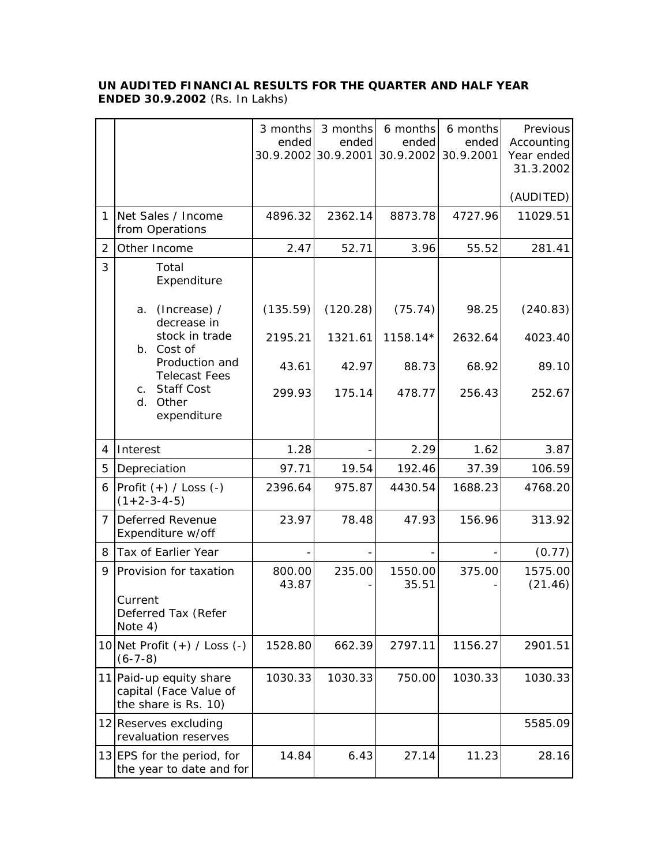## **UN AUDITED FINANCIAL RESULTS FOR THE QUARTER AND HALF YEAR ENDED 30.9.2002** (Rs. In Lakhs)

|   |                                                                           | 3 months<br>ended | 3 months<br>ended<br>30.9.2002 30.9.2001 | 6 months<br>ended<br>30.9.2002 | 6 months<br>ended<br>30.9.2001 | Previous<br>Accounting<br>Year ended<br>31.3.2002 |
|---|---------------------------------------------------------------------------|-------------------|------------------------------------------|--------------------------------|--------------------------------|---------------------------------------------------|
|   |                                                                           |                   |                                          |                                |                                | (AUDITED)                                         |
| 1 | Net Sales / Income<br>from Operations                                     | 4896.32           | 2362.14                                  | 8873.78                        | 4727.96                        | 11029.51                                          |
| 2 | Other Income                                                              | 2.47              | 52.71                                    | 3.96                           | 55.52                          | 281.41                                            |
| 3 | Total<br>Expenditure                                                      |                   |                                          |                                |                                |                                                   |
|   | (Increase) /<br>a.<br>decrease in                                         | (135.59)          | (120.28)                                 | (75.74)                        | 98.25                          | (240.83)                                          |
|   | stock in trade<br>b. Cost of                                              | 2195.21           | 1321.61                                  | 1158.14*                       | 2632.64                        | 4023.40                                           |
|   | Production and<br><b>Telecast Fees</b>                                    | 43.61             | 42.97                                    | 88.73                          | 68.92                          | 89.10                                             |
|   | <b>Staff Cost</b><br>C <sub>1</sub><br>Other<br>d.<br>expenditure         | 299.93            | 175.14                                   | 478.77                         | 256.43                         | 252.67                                            |
| 4 | Interest                                                                  | 1.28              |                                          | 2.29                           | 1.62                           | 3.87                                              |
| 5 | Depreciation                                                              | 97.71             | 19.54                                    | 192.46                         | 37.39                          | 106.59                                            |
| 6 | Profit $(+)$ / Loss $(-)$<br>$(1+2-3-4-5)$                                | 2396.64           | 975.87                                   | 4430.54                        | 1688.23                        | 4768.20                                           |
| 7 | Deferred Revenue<br>Expenditure w/off                                     | 23.97             | 78.48                                    | 47.93                          | 156.96                         | 313.92                                            |
| 8 | Tax of Earlier Year                                                       |                   |                                          |                                |                                | (0.77)                                            |
| 9 | Provision for taxation<br>Current<br>Deferred Tax (Refer<br>Note 4)       | 800.00<br>43.87   | 235.00                                   | 1550.00<br>35.51               | 375.00                         | 1575.00<br>(21.46)                                |
|   | 10 Net Profit $(+)$ / Loss $(-)$<br>$(6-7-8)$                             | 1528.80           | 662.39                                   | 2797.11                        | 1156.27                        | 2901.51                                           |
|   | 11 Paid-up equity share<br>capital (Face Value of<br>the share is Rs. 10) | 1030.33           | 1030.33                                  | 750.00                         | 1030.33                        | 1030.33                                           |
|   | 12 Reserves excluding<br>revaluation reserves                             |                   |                                          |                                |                                | 5585.09                                           |
|   | 13 EPS for the period, for<br>the year to date and for                    | 14.84             | 6.43                                     | 27.14                          | 11.23                          | 28.16                                             |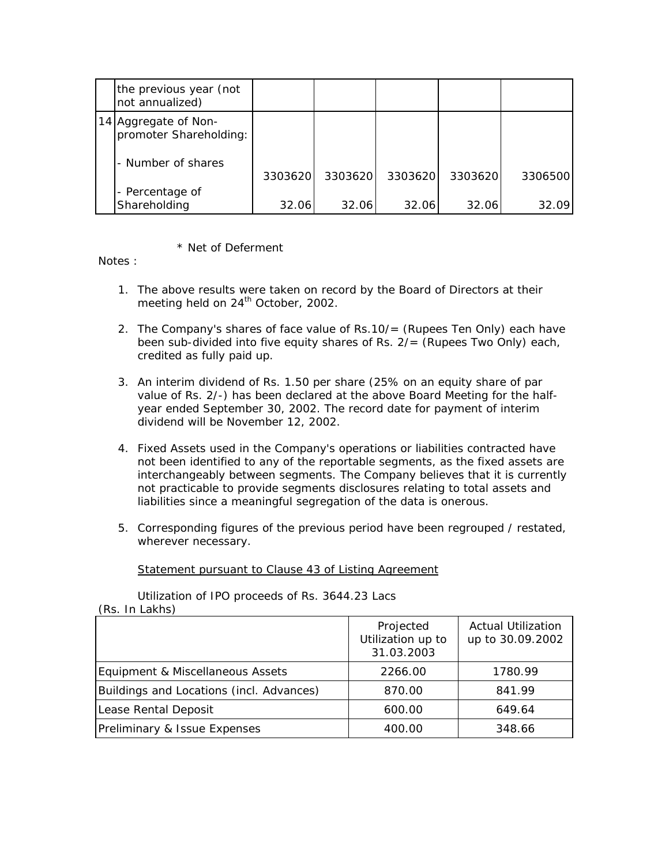| the previous year (not<br>not annualized)      |         |         |         |         |         |
|------------------------------------------------|---------|---------|---------|---------|---------|
| 14 Aggregate of Non-<br>promoter Shareholding: |         |         |         |         |         |
| - Number of shares                             | 3303620 | 3303620 | 3303620 | 3303620 | 3306500 |
| - Percentage of<br>Shareholding                | 32.06   | 32.06   | 32.06   | 32.06   | 32.09   |

\* Net of Deferment

Notes :

- 1. The above results were taken on record by the Board of Directors at their meeting held on  $24<sup>th</sup>$  October, 2002.
- 2. The Company's shares of face value of Rs.10/= (Rupees Ten Only) each have been sub-divided into five equity shares of Rs. 2/= (Rupees Two Only) each, credited as fully paid up.
- 3. An interim dividend of Rs. 1.50 per share (25% on an equity share of par value of Rs. 2/-) has been declared at the above Board Meeting for the halfyear ended September 30, 2002. The record date for payment of interim dividend will be November 12, 2002.
- 4. Fixed Assets used in the Company's operations or liabilities contracted have not been identified to any of the reportable segments, as the fixed assets are interchangeably between segments. The Company believes that it is currently not practicable to provide segments disclosures relating to total assets and liabilities since a meaningful segregation of the data is onerous.
- 5. Corresponding figures of the previous period have been regrouped / restated, wherever necessary.

Statement pursuant to Clause 43 of Listing Agreement

Utilization of IPO proceeds of Rs. 3644.23 Lacs (Rs. In Lakhs)

|                                          | Projected<br>Utilization up to<br>31.03.2003 | <b>Actual Utilization</b><br>up to 30.09.2002 |
|------------------------------------------|----------------------------------------------|-----------------------------------------------|
| Equipment & Miscellaneous Assets         | 2266.00                                      | 1780.99                                       |
| Buildings and Locations (incl. Advances) | 870.00                                       | 841.99                                        |
| Lease Rental Deposit                     | 600.00                                       | 649.64                                        |
| Preliminary & Issue Expenses             | 400.00                                       | 348.66                                        |